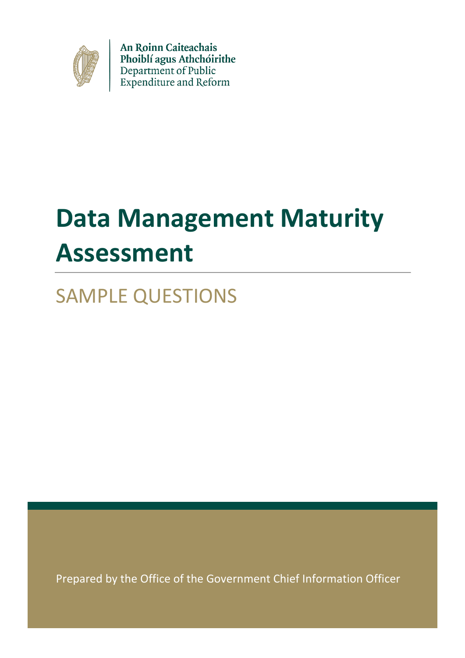

An Roinn Caiteachais Phoiblí agus Athchóirithe Department of Public<br>Expenditure and Reform

# **Data Management Maturity Assessment**

SAMPLE QUESTIONS

Prepared by the Office of the Government Chief Information Officer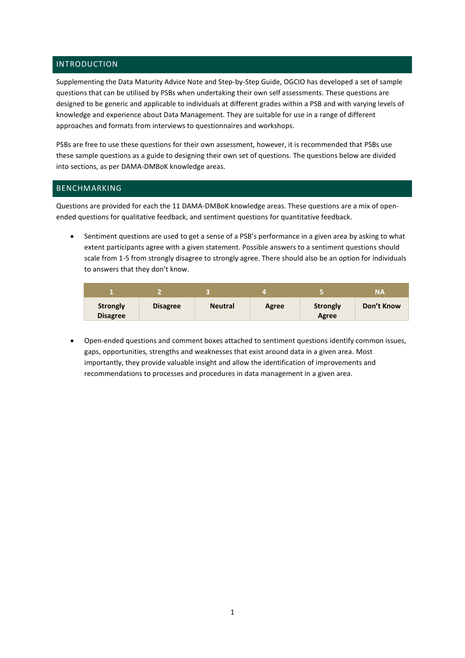# INTRODUCTION

Supplementing the Data Maturity Advice Note and Step-by-Step Guide, OGCIO has developed a set of sample questions that can be utilised by PSBs when undertaking their own self assessments. These questions are designed to be generic and applicable to individuals at different grades within a PSB and with varying levels of knowledge and experience about Data Management. They are suitable for use in a range of different approaches and formats from interviews to questionnaires and workshops.

PSBs are free to use these questions for their own assessment, however, it is recommended that PSBs use these sample questions as a guide to designing their own set of questions. The questions below are divided into sections, as per DAMA-DMBoK knowledge areas.

### BENCHMARKING

Questions are provided for each the 11 DAMA-DMBoK knowledge areas. These questions are a mix of openended questions for qualitative feedback, and sentiment questions for quantitative feedback.

 Sentiment questions are used to get a sense of a PSB's performance in a given area by asking to what extent participants agree with a given statement. Possible answers to a sentiment questions should scale from 1-5 from strongly disagree to strongly agree. There should also be an option for individuals to answers that they don't know.

|                                    |                 |                |       |                          | <b>NA</b>  |
|------------------------------------|-----------------|----------------|-------|--------------------------|------------|
| <b>Strongly</b><br><b>Disagree</b> | <b>Disagree</b> | <b>Neutral</b> | Agree | <b>Strongly</b><br>Agree | Don't Know |

 Open-ended questions and comment boxes attached to sentiment questions identify common issues, gaps, opportunities, strengths and weaknesses that exist around data in a given area. Most importantly, they provide valuable insight and allow the identification of improvements and recommendations to processes and procedures in data management in a given area.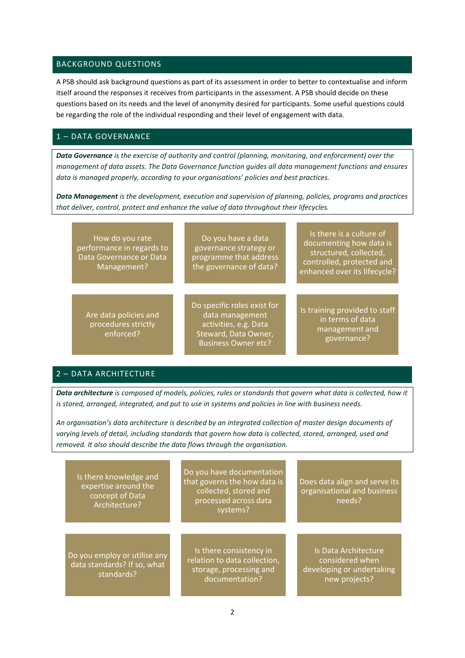#### BACKGROUND QUESTIONS

A PSB should ask background questions as part of its assessment in order to better to contextualise and inform itself around the responses it receives from participants in the assessment. A PSB should decide on these questions based on its needs and the level of anonymity desired for participants. Some useful questions could be regarding the role of the individual responding and their level of engagement with data.

# 1 – DATA GOVERNANCE

*Data Governance is the exercise of authority and control (planning, monitoring, and enforcement) over the management of data assets. The Data Governance function guides all data management functions and ensures data is managed properly, according to your organisations' policies and best practices.*

*Data Management is the development, execution and supervision of planning, policies, programs and practices that deliver, control, protect and enhance the value of data throughout their lifecycles.*

| How do you rate<br>performance in regards to<br>Data Governance or Data<br>Management? | Do you have a data<br>governance strategy or<br>programme that address<br>the governance of data?                             | Is there is a culture of<br>documenting how data is<br>structured, collected,<br>controlled, protected and<br>enhanced over its lifecycle? |
|----------------------------------------------------------------------------------------|-------------------------------------------------------------------------------------------------------------------------------|--------------------------------------------------------------------------------------------------------------------------------------------|
| Are data policies and<br>procedures strictly<br>enforced?                              | Do specific roles exist for<br>data management<br>activities, e.g. Data<br>Steward, Data Owner,<br><b>Business Owner etc?</b> | Is training provided to staff<br>in terms of data<br>management and<br>governance?                                                         |

# 2 – DATA ARCHITECTURE

*Data architecture is composed of models, policies, rules or standards that govern what data is collected, how it is stored, arranged, integrated, and put to use in systems and policies in line with business needs.*

*An organisation's data architecture is described by an integrated collection of master design documents of varying levels of detail, including standards that govern how data is collected, stored, arranged, used and removed. It also should describe the data flows through the organisation.*

| Is there knowledge and<br>expertise around the<br>concept of Data<br>Architecture? | Do you have documentation<br>that governs the how data is<br>collected, stored and<br>processed across data<br>systems? | Does data align and serve its<br>organisational and business<br>needs?                |
|------------------------------------------------------------------------------------|-------------------------------------------------------------------------------------------------------------------------|---------------------------------------------------------------------------------------|
| Do you employ or utilise any<br>data standards? If so, what<br>standards?          | Is there consistency in<br>relation to data collection,<br>storage, processing and<br>documentation?                    | Is Data Architecture<br>considered when<br>developing or undertaking<br>new projects? |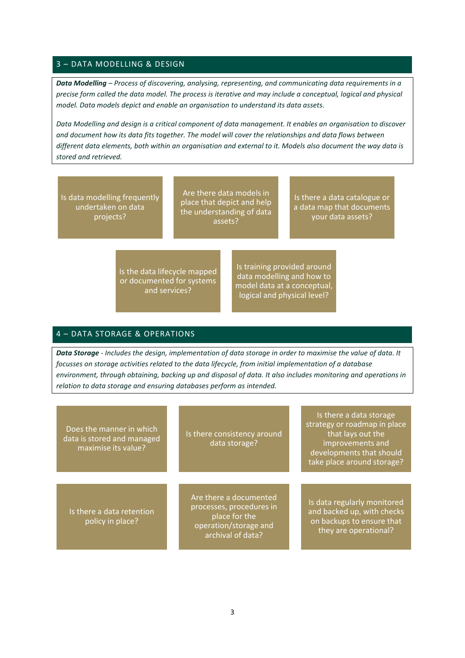## 3 – DATA MODELLING & DESIGN

*Data Modelling – Process of discovering, analysing, representing, and communicating data requirements in a precise form called the data model. The process is iterative and may include a conceptual, logical and physical model. Data models depict and enable an organisation to understand its data assets.*

*Data Modelling and design is a critical component of data management. It enables an organisation to discover and document how its data fits together. The model will cover the relationships and data flows between different data elements, both within an organisation and external to it. Models also document the way data is stored and retrieved.* 

Is data modelling frequently undertaken on data projects?

Are there data models in place that depict and help the understanding of data assets?

Is there a data catalogue or a data map that documents your data assets?

Is the data lifecycle mapped or documented for systems and services?

Is training provided around data modelling and how to model data at a conceptual, logical and physical level?

#### 4 – DATA STORAGE & OPERATIONS

*Data Storage - Includes the design, implementation of data storage in order to maximise the value of data. It focusses on storage activities related to the data lifecycle, from initial implementation of a database environment, through obtaining, backing up and disposal of data. It also includes monitoring and operations in relation to data storage and ensuring databases perform as intended.*

| Does the manner in which<br>data is stored and managed<br>maximise its value? | Is there consistency around<br>data storage?                                                                      | Is there a data storage<br>strategy or roadmap in place<br>that lays out the<br>improvements and<br>developments that should<br>take place around storage? |
|-------------------------------------------------------------------------------|-------------------------------------------------------------------------------------------------------------------|------------------------------------------------------------------------------------------------------------------------------------------------------------|
| Is there a data retention<br>policy in place?                                 | Are there a documented<br>processes, procedures in<br>place for the<br>operation/storage and<br>archival of data? | Is data regularly monitored<br>and backed up, with checks<br>on backups to ensure that<br>they are operational?                                            |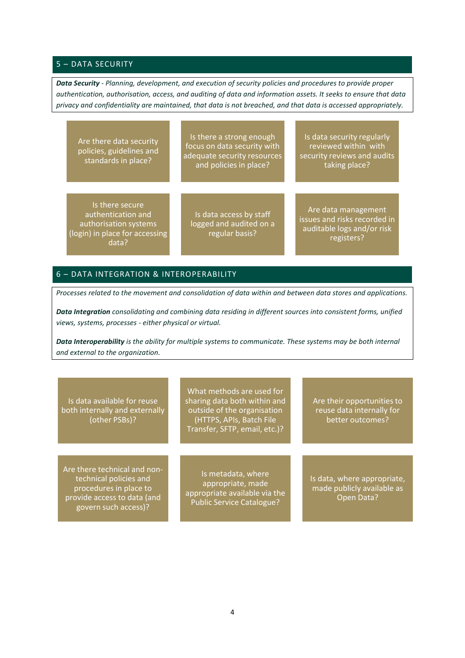# 5 – DATA SECURITY

*Data Security - Planning, development, and execution of security policies and procedures to provide proper authentication, authorisation, access, and auditing of data and information assets. It seeks to ensure that data privacy and confidentiality are maintained, that data is not breached, and that data is accessed appropriately.*

| Are there data security<br>policies, guidelines and<br>standards in place?                                | Is there a strong enough<br>focus on data security with<br>adequate security resources<br>and policies in place? | Is data security regularly<br>reviewed within with<br>security reviews and audits<br>taking place? |
|-----------------------------------------------------------------------------------------------------------|------------------------------------------------------------------------------------------------------------------|----------------------------------------------------------------------------------------------------|
| Is there secure<br>authentication and<br>authorisation systems<br>(login) in place for accessing<br>data? | Is data access by staff<br>logged and audited on a<br>regular basis?                                             | Are data management<br>issues and risks recorded in<br>auditable logs and/or risk<br>registers?    |

# 6 – DATA INTEGRATION & INTEROPERABILITY

*Processes related to the movement and consolidation of data within and between data stores and applications.*

*Data Integration consolidating and combining data residing in different sources into consistent forms, unified views, systems, processes - either physical or virtual.* 

*Data Interoperability is the ability for multiple systems to communicate. These systems may be both internal and external to the organization.*

Is data available for reuse both internally and externally (other PSBs)?

Are there technical and nontechnical policies and procedures in place to provide access to data (and govern such access)?

What methods are used for sharing data both within and outside of the organisation (HTTPS, APIs, Batch File Transfer, SFTP, email, etc.)?

Is metadata, where appropriate, made appropriate available via the Public Service Catalogue?

Are their opportunities to reuse data internally for better outcomes?

Is data, where appropriate, made publicly available as Open Data?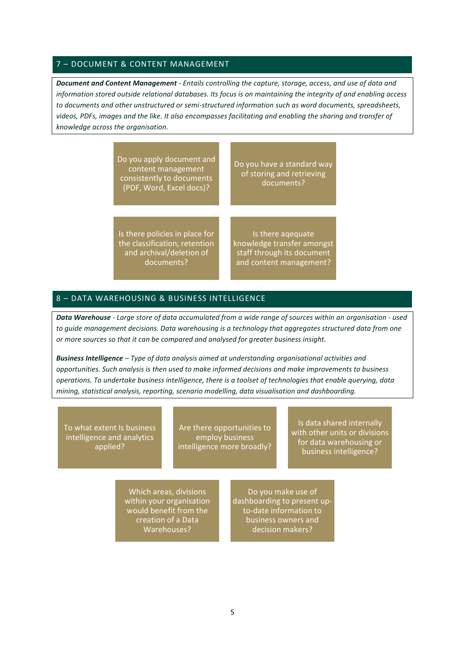#### 7 – DOCUMENT & CONTENT MANAGEMENT

*Document and Content Management - Entails controlling the capture, storage, access, and use of data and information stored outside relational databases. Its focus is on maintaining the integrity of and enabling access to documents and other unstructured or semi-structured information such as word documents, spreadsheets, videos, PDFs, images and the like. It also encompasses facilitating and enabling the sharing and transfer of knowledge across the organisation.*

> Do you apply document and content management consistently to documents (PDF, Word, Excel docs)?

Do you have a standard way of storing and retrieving documents?

Is there policies in place for the classification, retention and archival/deletion of documents?

Is there aqequate knowledge transfer amongst staff through its document and content management?

#### 8 – DATA WAREHOUSING & BUSINESS INTELLIGENCE

*Data Warehouse - Large store of data accumulated from a wide range of sources within an organisation - used to guide management decisions. Data warehousing is a technology that aggregates structured data from one or more sources so that it can be compared and analysed for greater business insight.* 

*Business Intelligence – Type of data analysis aimed at understanding organisational activities and opportunities. Such analysis is then used to make informed decisions and make improvements to business operations. To undertake business intelligence, there is a toolset of technologies that enable querying, data mining, statistical analysis, reporting, scenario modelling, data visualisation and dashboarding.* 

To what extent Is business intelligence and analytics applied?

Are there opportunities to employ business intelligence more broadly?

Is data shared internally with other units or divisions for data warehousing or business intelligence?

Which areas, divisions within your organisation would benefit from the creation of a Data Warehouses?

Do you make use of dashboarding to present upto-date information to business owners and decision makers?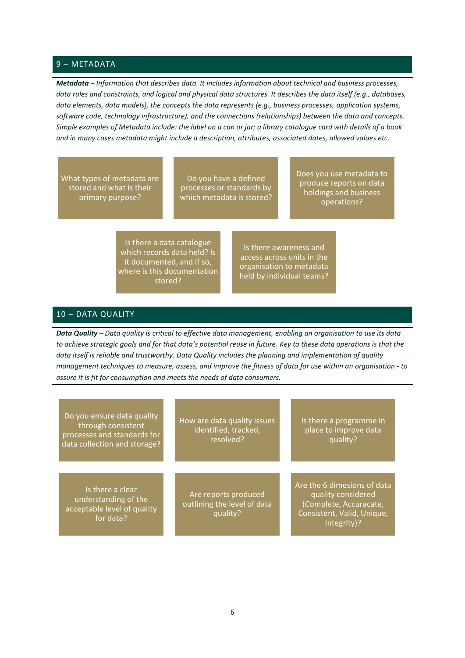#### 9 – METADATA

*Metadata – Information that describes data. It includes information about technical and business processes, data rules and constraints, and logical and physical data structures. It describes the data itself (e.g., databases, data elements, data models), the concepts the data represents (e.g., business processes, application systems, software code, technology infrastructure), and the connections (relationships) between the data and concepts. Simple examples of Metadata include: the label on a can or jar; a library catalogue card with details of a book and in many cases metadata might include a description, attributes, associated dates, allowed values etc.*

What types of metadata are stored and what is their primary purpose?

Do you have a defined processes or standards by which metadata is stored? Does you use metadata to produce reports on data holdings and business operations?

Is there a data catalogue which records data held? Is it documented, and if so, where is this documentation stored?

Is there awareness and access across units in the organisation to metadata held by individual teams?

# 10 – DATA QUALITY

*Data Quality – Data quality is critical to effective data management, enabling an organisation to use its data to achieve strategic goals and for that data's potential reuse in future. Key to these data operations is that the data itself is reliable and trustworthy. Data Quality includes the planning and implementation of quality management techniques to measure, assess, and improve the fitness of data for use within an organisation - to assure it is fit for consumption and meets the needs of data consumers.*

| Do you ensure data quality<br>through consistent<br>processes and standards for<br>data collection and storage? | How are data quality issues<br>identified, tracked,<br>resolved? | Is there a programme in<br>place to improve data<br>quality?                                                             |
|-----------------------------------------------------------------------------------------------------------------|------------------------------------------------------------------|--------------------------------------------------------------------------------------------------------------------------|
| Is there a clear<br>understanding of the<br>acceptable level of quality<br>for data?                            | Are reports produced<br>outlining the level of data<br>quality?  | Are the 6 dimesions of data<br>quality considered<br>(Complete, Accuracate,<br>Consistent, Valid, Unique,<br>Integrity)? |